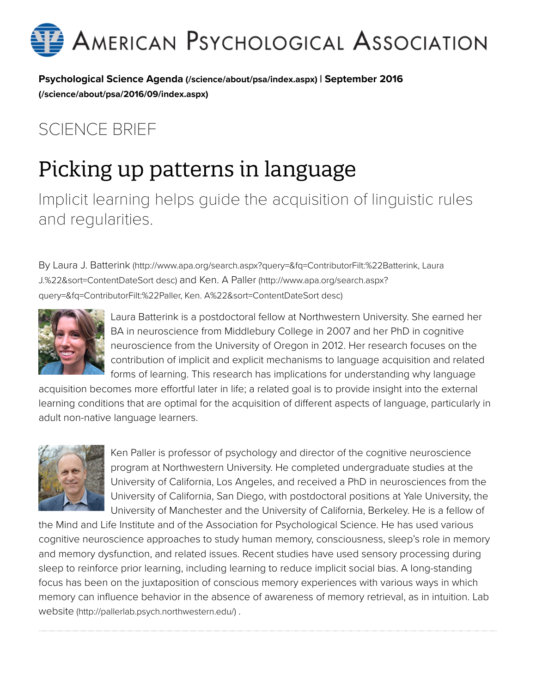

[Psychological Science Agenda \(/science/about/psa/index.aspx\)](http://www.apa.org/science/about/psa/index.aspx) [| September 2016](http://www.apa.org/science/about/psa/2016/09/index.aspx) (/science/about/psa/2016/09/index.aspx)

#### SCIENCE BRIEF

# Picking up patterns in language

Implicit learning helps guide the acquisition of linguistic rules and regularities.

[By Laura J. Batterink \(http://www.apa.org/search.aspx?query=&fq=ContributorFilt:%22Batterink, Laura](http://www.apa.org/search.aspx?query=&fq=ContributorFilt:%22Batterink,%20Laura%20J.%22&sort=ContentDateSort%20desc) [J.%22&sort=ContentDateSort desc\) and Ken. A Paller \(http://www.apa.org/search.aspx?](http://www.apa.org/search.aspx?query=&fq=ContributorFilt:%22Paller,%20Ken.%20A%22&sort=ContentDateSort%20desc) query=&fq=ContributorFilt:%22Paller, Ken. A%22&sort=ContentDateSort desc)



Laura Batterink is a postdoctoral fellow at Northwestern University. She earned her BA in neuroscience from Middlebury College in 2007 and her PhD in cognitive neuroscience from the University of Oregon in 2012. Her research focuses on the contribution of implicit and explicit mechanisms to language acquisition and related forms of learning. This research has implications for understanding why language

acquisition becomes more effortful later in life; a related goal is to provide insight into the external learning conditions that are optimal for the acquisition of different aspects of language, particularly in adult non-native language learners.



Ken Paller is professor of psychology and director of the cognitive neuroscience program at Northwestern University. He completed undergraduate studies at the University of California, Los Angeles, and received a PhD in neurosciences from the University of California, San Diego, with postdoctoral positions at Yale University, the University of Manchester and the University of California, Berkeley. He is a fellow of

the Mind and Life Institute and of the Association for Psychological Science. He has used various cognitive neuroscience approaches to study human memory, consciousness, sleep's role in memory and memory dysfunction, and related issues. Recent studies have used sensory processing during sleep to reinforce prior learning, including learning to reduce implicit social bias. A long-standing focus has been on the juxtaposition of conscious memory experiences with various ways in which [memory can influence behavior in the absence of awareness of memory retrieval, as in intuition. Lab](http://pallerlab.psych.northwestern.edu/) website (http://pallerlab.psych.northwestern.edu/) .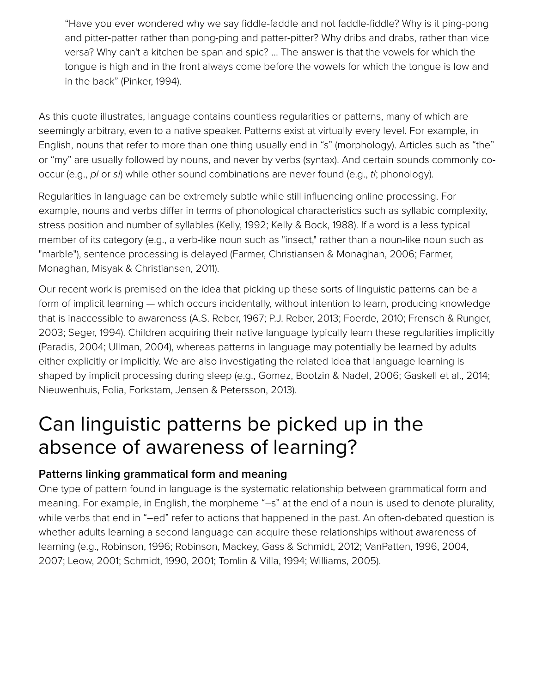"Have you ever wondered why we say fiddle-faddle and not faddle-fiddle? Why is it ping-pong and pitter-patter rather than pong-ping and patter-pitter? Why dribs and drabs, rather than vice versa? Why can't a kitchen be span and spic? … The answer is that the vowels for which the tongue is high and in the front always come before the vowels for which the tongue is low and in the back" (Pinker, 1994).

As this quote illustrates, language contains countless regularities or patterns, many of which are seemingly arbitrary, even to a native speaker. Patterns exist at virtually every level. For example, in English, nouns that refer to more than one thing usually end in "s" (morphology). Articles such as "the" or "my" are usually followed by nouns, and never by verbs (syntax). And certain sounds commonly cooccur (e.g., *pl* or *sl*) while other sound combinations are never found (e.g., *tl*; phonology).

Regularities in language can be extremely subtle while still influencing online processing. For example, nouns and verbs differ in terms of phonological characteristics such as syllabic complexity, stress position and number of syllables (Kelly, 1992; Kelly & Bock, 1988). If a word is a less typical member of its category (e.g., a verb-like noun such as "insect," rather than a noun-like noun such as "marble"), sentence processing is delayed (Farmer, Christiansen & Monaghan, 2006; Farmer, Monaghan, Misyak & Christiansen, 2011).

Our recent work is premised on the idea that picking up these sorts of linguistic patterns can be a form of implicit learning — which occurs incidentally, without intention to learn, producing knowledge that is inaccessible to awareness (A.S. Reber, 1967; P.J. Reber, 2013; Foerde, 2010; Frensch & Runger, 2003; Seger, 1994). Children acquiring their native language typically learn these regularities implicitly (Paradis, 2004; Ullman, 2004), whereas patterns in language may potentially be learned by adults either explicitly or implicitly. We are also investigating the related idea that language learning is shaped by implicit processing during sleep (e.g., Gomez, Bootzin & Nadel, 2006; Gaskell et al., 2014; Nieuwenhuis, Folia, Forkstam, Jensen & Petersson, 2013).

### Can linguistic patterns be picked up in the absence of awareness of learning?

#### Patterns linking grammatical form and meaning

One type of pattern found in language is the systematic relationship between grammatical form and meaning. For example, in English, the morpheme "–s" at the end of a noun is used to denote plurality, while verbs that end in "-ed" refer to actions that happened in the past. An often-debated question is whether adults learning a second language can acquire these relationships without awareness of learning (e.g., Robinson, 1996; Robinson, Mackey, Gass & Schmidt, 2012; VanPatten, 1996, 2004, 2007; Leow, 2001; Schmidt, 1990, 2001; Tomlin & Villa, 1994; Williams, 2005).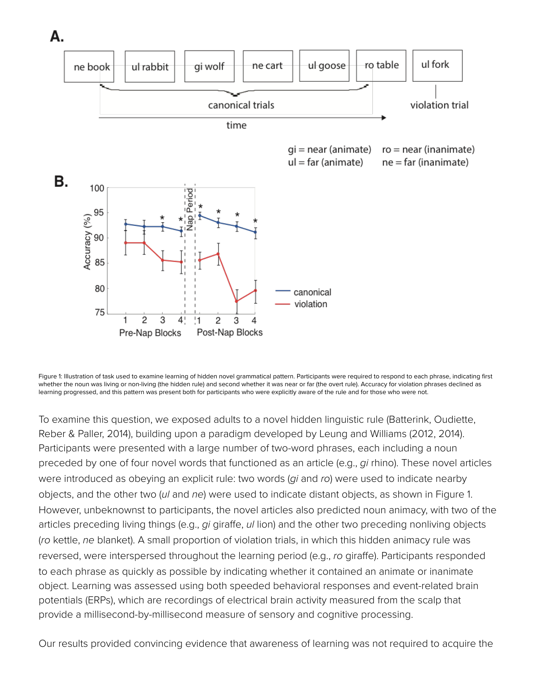

Figure 1: Illustration of task used to examine learning of hidden novel grammatical pattern. Participants were required to respond to each phrase, indicating first whether the noun was living or non-living (the hidden rule) and second whether it was near or far (the overt rule). Accuracy for violation phrases declined as learning progressed, and this pattern was present both for participants who were explicitly aware of the rule and for those who were not.

To examine this question, we exposed adults to a novel hidden linguistic rule (Batterink, Oudiette, Reber & Paller, 2014), building upon a paradigm developed by Leung and Williams (2012, 2014). Participants were presented with a large number of two-word phrases, each including a noun preceded by one of four novel words that functioned as an article (e.g., *gi* rhino). These novel articles were introduced as obeying an explicit rule: two words (*gi* and *ro*) were used to indicate nearby objects, and the other two (*ul* and *ne*) were used to indicate distant objects, as shown in Figure 1. However, unbeknownst to participants, the novel articles also predicted noun animacy, with two of the articles preceding living things (e.g., *gi* giraffe, *ul* lion) and the other two preceding nonliving objects (*ro* kettle, *ne* blanket). A small proportion of violation trials, in which this hidden animacy rule was reversed, were interspersed throughout the learning period (e.g., *ro* giraffe). Participants responded to each phrase as quickly as possible by indicating whether it contained an animate or inanimate object. Learning was assessed using both speeded behavioral responses and event-related brain potentials (ERPs), which are recordings of electrical brain activity measured from the scalp that provide a millisecond-by-millisecond measure of sensory and cognitive processing.

Our results provided convincing evidence that awareness of learning was not required to acquire the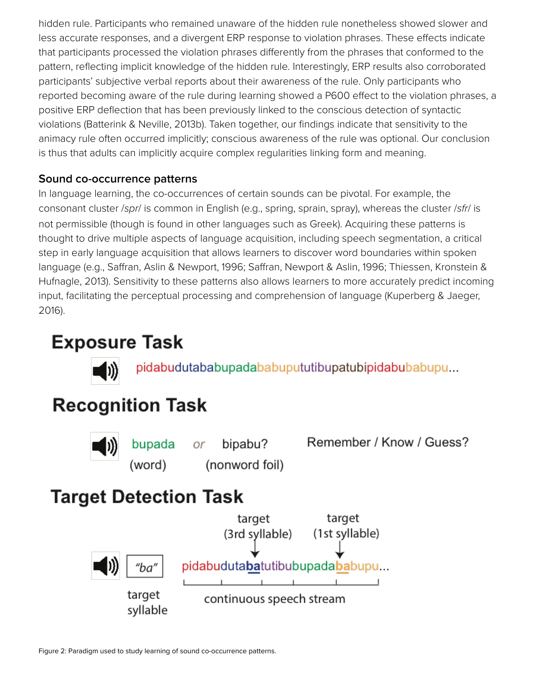hidden rule. Participants who remained unaware of the hidden rule nonetheless showed slower and less accurate responses, and a divergent ERP response to violation phrases. These effects indicate that participants processed the violation phrases differently from the phrases that conformed to the pattern, reflecting implicit knowledge of the hidden rule. Interestingly, ERP results also corroborated participants' subjective verbal reports about their awareness of the rule. Only participants who reported becoming aware of the rule during learning showed a P600 effect to the violation phrases, a positive ERP deflection that has been previously linked to the conscious detection of syntactic violations (Batterink & Neville, 2013b). Taken together, our findings indicate that sensitivity to the animacy rule often occurred implicitly; conscious awareness of the rule was optional. Our conclusion is thus that adults can implicitly acquire complex regularities linking form and meaning.

#### Sound co-occurrence patterns

In language learning, the co-occurrences of certain sounds can be pivotal. For example, the consonant cluster /*spr*/ is common in English (e.g., spring, sprain, spray), whereas the cluster /*sfr*/ is not permissible (though is found in other languages such as Greek). Acquiring these patterns is thought to drive multiple aspects of language acquisition, including speech segmentation, a critical step in early language acquisition that allows learners to discover word boundaries within spoken language (e.g., Saffran, Aslin & Newport, 1996; Saffran, Newport & Aslin, 1996; Thiessen, Kronstein & Hufnagle, 2013). Sensitivity to these patterns also allows learners to more accurately predict incoming input, facilitating the perceptual processing and comprehension of language (Kuperberg & Jaeger, 2016).

#### **Exposure Task**



pidabudutababupadababupututibupatubipidabubabupu...

## **Recognition Task**



bupada<br>(word) bipabu? (nonword foil) Remember / Know / Guess?

### **Target Detection Task**

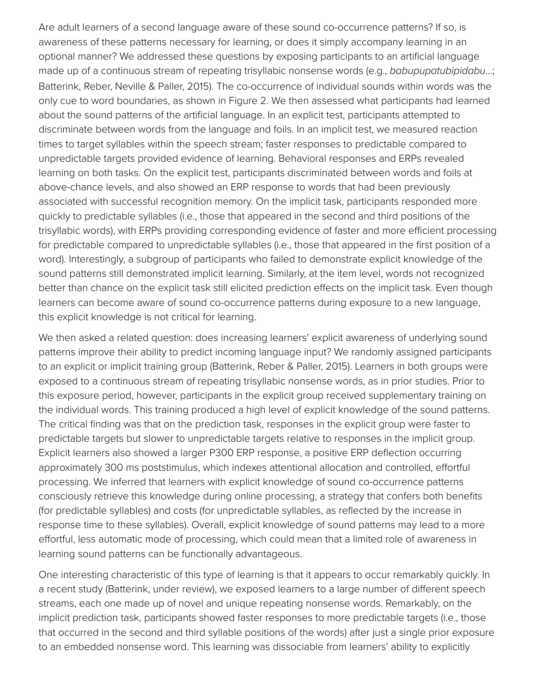Are adult learners of a second language aware of these sound co-occurrence patterns? If so, is awareness of these patterns necessary for learning, or does it simply accompany learning in an optional manner? We addressed these questions by exposing participants to an artificial language made up of a continuous stream of repeating trisyllabic nonsense words (e.g., *babupupatubipidabu*…; Batterink, Reber, Neville & Paller, 2015). The co-occurrence of individual sounds within words was the only cue to word boundaries, as shown in Figure 2. We then assessed what participants had learned about the sound patterns of the artificial language. In an explicit test, participants attempted to discriminate between words from the language and foils. In an implicit test, we measured reaction times to target syllables within the speech stream; faster responses to predictable compared to unpredictable targets provided evidence of learning. Behavioral responses and ERPs revealed learning on both tasks. On the explicit test, participants discriminated between words and foils at above-chance levels, and also showed an ERP response to words that had been previously associated with successful recognition memory. On the implicit task, participants responded more quickly to predictable syllables (i.e., those that appeared in the second and third positions of the trisyllabic words), with ERPs providing corresponding evidence of faster and more efficient processing for predictable compared to unpredictable syllables (i.e., those that appeared in the first position of a word). Interestingly, a subgroup of participants who failed to demonstrate explicit knowledge of the sound patterns still demonstrated implicit learning. Similarly, at the item level, words not recognized better than chance on the explicit task still elicited prediction effects on the implicit task. Even though learners can become aware of sound co-occurrence patterns during exposure to a new language, this explicit knowledge is not critical for learning.

We then asked a related question: does increasing learners' explicit awareness of underlying sound patterns improve their ability to predict incoming language input? We randomly assigned participants to an explicit or implicit training group (Batterink, Reber & Paller, 2015). Learners in both groups were exposed to a continuous stream of repeating trisyllabic nonsense words, as in prior studies. Prior to this exposure period, however, participants in the explicit group received supplementary training on the individual words. This training produced a high level of explicit knowledge of the sound patterns. The critical finding was that on the prediction task, responses in the explicit group were faster to predictable targets but slower to unpredictable targets relative to responses in the implicit group. Explicit learners also showed a larger P300 ERP response, a positive ERP deflection occurring approximately 300 ms poststimulus, which indexes attentional allocation and controlled, effortful processing. We inferred that learners with explicit knowledge of sound co-occurrence patterns consciously retrieve this knowledge during online processing, a strategy that confers both benefits (for predictable syllables) and costs (for unpredictable syllables, as reflected by the increase in response time to these syllables). Overall, explicit knowledge of sound patterns may lead to a more effortful, less automatic mode of processing, which could mean that a limited role of awareness in learning sound patterns can be functionally advantageous.

One interesting characteristic of this type of learning is that it appears to occur remarkably quickly. In a recent study (Batterink, under review), we exposed learners to a large number of different speech streams, each one made up of novel and unique repeating nonsense words. Remarkably, on the implicit prediction task, participants showed faster responses to more predictable targets (i.e., those that occurred in the second and third syllable positions of the words) after just a single prior exposure to an embedded nonsense word. This learning was dissociable from learners' ability to explicitly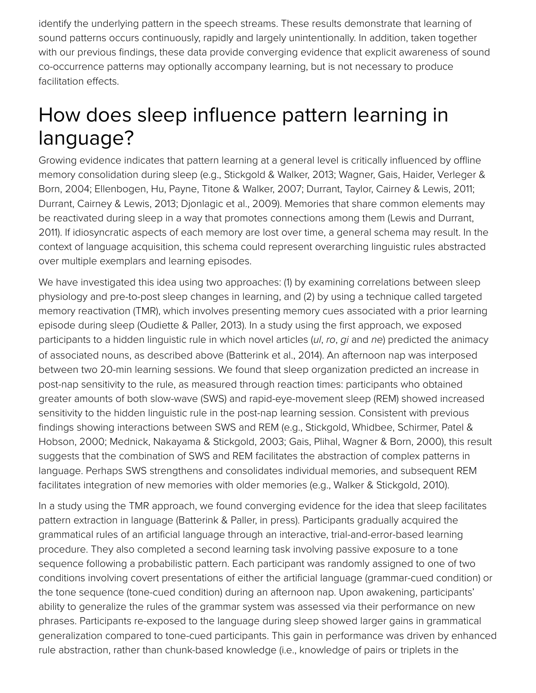identify the underlying pattern in the speech streams. These results demonstrate that learning of sound patterns occurs continuously, rapidly and largely unintentionally. In addition, taken together with our previous findings, these data provide converging evidence that explicit awareness of sound co-occurrence patterns may optionally accompany learning, but is not necessary to produce facilitation effects.

## How does sleep influence pattern learning in language?

Growing evidence indicates that pattern learning at a general level is critically influenced by offline memory consolidation during sleep (e.g., Stickgold & Walker, 2013; Wagner, Gais, Haider, Verleger & Born, 2004; Ellenbogen, Hu, Payne, Titone & Walker, 2007; Durrant, Taylor, Cairney & Lewis, 2011; Durrant, Cairney & Lewis, 2013; Djonlagic et al., 2009). Memories that share common elements may be reactivated during sleep in a way that promotes connections among them (Lewis and Durrant, 2011). If idiosyncratic aspects of each memory are lost over time, a general schema may result. In the context of language acquisition, this schema could represent overarching linguistic rules abstracted over multiple exemplars and learning episodes.

We have investigated this idea using two approaches: (1) by examining correlations between sleep physiology and pre-to-post sleep changes in learning, and (2) by using a technique called targeted memory reactivation (TMR), which involves presenting memory cues associated with a prior learning episode during sleep (Oudiette & Paller, 2013). In a study using the first approach, we exposed participants to a hidden linguistic rule in which novel articles (*ul*, *ro*, *gi* and *ne*) predicted the animacy of associated nouns, as described above (Batterink et al., 2014). An afternoon nap was interposed between two 20-min learning sessions. We found that sleep organization predicted an increase in post-nap sensitivity to the rule, as measured through reaction times: participants who obtained greater amounts of both slow-wave (SWS) and rapid-eye-movement sleep (REM) showed increased sensitivity to the hidden linguistic rule in the post-nap learning session. Consistent with previous findings showing interactions between SWS and REM (e.g., Stickgold, Whidbee, Schirmer, Patel & Hobson, 2000; Mednick, Nakayama & Stickgold, 2003; Gais, Plihal, Wagner & Born, 2000), this result suggests that the combination of SWS and REM facilitates the abstraction of complex patterns in language. Perhaps SWS strengthens and consolidates individual memories, and subsequent REM facilitates integration of new memories with older memories (e.g., Walker & Stickgold, 2010).

In a study using the TMR approach, we found converging evidence for the idea that sleep facilitates pattern extraction in language (Batterink & Paller, in press). Participants gradually acquired the grammatical rules of an artificial language through an interactive, trial-and-error-based learning procedure. They also completed a second learning task involving passive exposure to a tone sequence following a probabilistic pattern. Each participant was randomly assigned to one of two conditions involving covert presentations of either the artificial language (grammar-cued condition) or the tone sequence (tone-cued condition) during an afternoon nap. Upon awakening, participants' ability to generalize the rules of the grammar system was assessed via their performance on new phrases. Participants re-exposed to the language during sleep showed larger gains in grammatical generalization compared to tone-cued participants. This gain in performance was driven by enhanced rule abstraction, rather than chunk-based knowledge (i.e., knowledge of pairs or triplets in the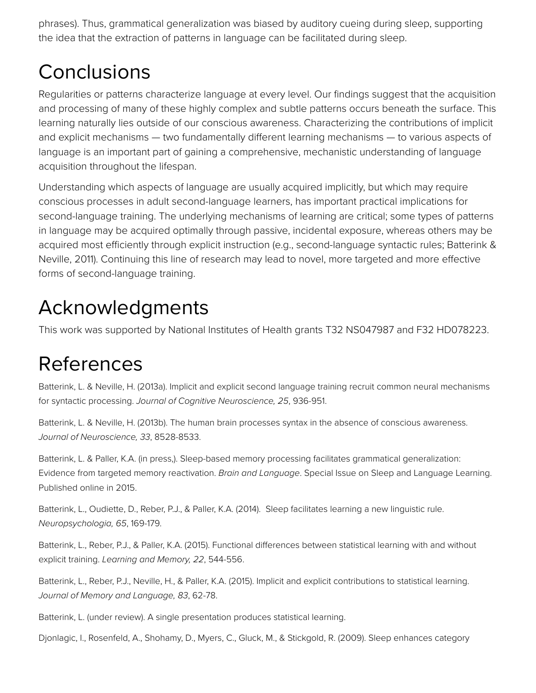phrases). Thus, grammatical generalization was biased by auditory cueing during sleep, supporting the idea that the extraction of patterns in language can be facilitated during sleep.

## **Conclusions**

Regularities or patterns characterize language at every level. Our findings suggest that the acquisition and processing of many of these highly complex and subtle patterns occurs beneath the surface. This learning naturally lies outside of our conscious awareness. Characterizing the contributions of implicit and explicit mechanisms — two fundamentally different learning mechanisms — to various aspects of language is an important part of gaining a comprehensive, mechanistic understanding of language acquisition throughout the lifespan.

Understanding which aspects of language are usually acquired implicitly, but which may require conscious processes in adult second-language learners, has important practical implications for second-language training. The underlying mechanisms of learning are critical; some types of patterns in language may be acquired optimally through passive, incidental exposure, whereas others may be acquired most efficiently through explicit instruction (e.g., second-language syntactic rules; Batterink & Neville, 2011). Continuing this line of research may lead to novel, more targeted and more effective forms of second-language training.

## Acknowledgments

This work was supported by National Institutes of Health grants T32 NS047987 and F32 HD078223.

## References

Batterink, L. & Neville, H. (2013a). Implicit and explicit second language training recruit common neural mechanisms for syntactic processing. *Journal of Cognitive Neuroscience, 25*, 936-951.

Batterink, L. & Neville, H. (2013b). The human brain processes syntax in the absence of conscious awareness. *Journal of Neuroscience, 33*, 8528-8533.

Batterink, L. & Paller, K.A. (in press,). Sleep-based memory processing facilitates grammatical generalization: Evidence from targeted memory reactivation. *Brain and Language*. Special Issue on Sleep and Language Learning. Published online in 2015.

Batterink, L., Oudiette, D., Reber, P.J., & Paller, K.A. (2014). Sleep facilitates learning a new linguistic rule. *Neuropsychologia, 65*, 169-179.

Batterink, L., Reber, P.J., & Paller, K.A. (2015). Functional differences between statistical learning with and without explicit training. *Learning and Memory, 22*, 544-556.

Batterink, L., Reber, P.J., Neville, H., & Paller, K.A. (2015). Implicit and explicit contributions to statistical learning. *Journal of Memory and Language, 83*, 62-78.

Batterink, L. (under review). A single presentation produces statistical learning.

Djonlagic, I., Rosenfeld, A., Shohamy, D., Myers, C., Gluck, M., & Stickgold, R. (2009). Sleep enhances category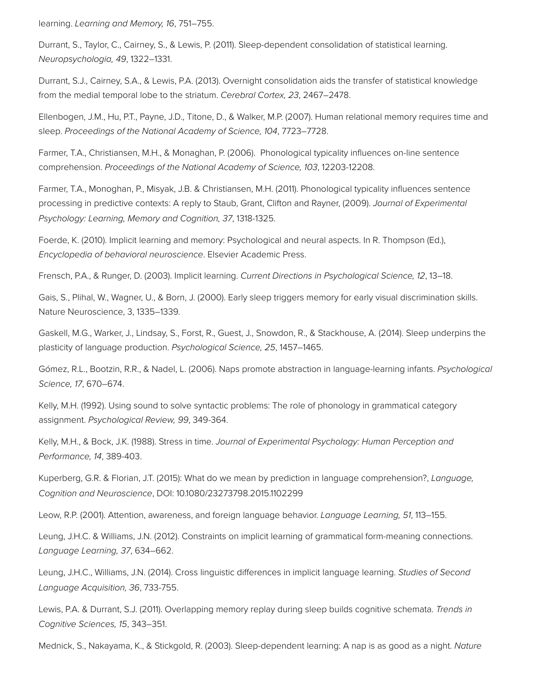learning. *Learning and Memory, 16*, 751–755.

Durrant, S., Taylor, C., Cairney, S., & Lewis, P. (2011). Sleep-dependent consolidation of statistical learning. *Neuropsychologia, 49*, 1322–1331.

Durrant, S.J., Cairney, S.A., & Lewis, P.A. (2013). Overnight consolidation aids the transfer of statistical knowledge from the medial temporal lobe to the striatum. *Cerebral Cortex, 23*, 2467–2478.

Ellenbogen, J.M., Hu, P.T., Payne, J.D., Titone, D., & Walker, M.P. (2007). Human relational memory requires time and sleep. *Proceedings of the National Academy of Science, 104*, 7723–7728.

Farmer, T.A., Christiansen, M.H., & Monaghan, P. (2006). Phonological typicality influences on-line sentence comprehension. *Proceedings of the National Academy of Science, 103*, 12203-12208.

Farmer, T.A., Monoghan, P., Misyak, J.B. & Christiansen, M.H. (2011). Phonological typicality influences sentence processing in predictive contexts: A reply to Staub, Grant, Clifton and Rayner, (2009). *Journal of Experimental Psychology: Learning, Memory and Cognition, 37*, 1318-1325.

Foerde, K. (2010). Implicit learning and memory: Psychological and neural aspects. In R. Thompson (Ed.), *Encyclopedia of behavioral neuroscience*. Elsevier Academic Press.

Frensch, P.A., & Runger, D. (2003). Implicit learning. *Current Directions in Psychological Science, 12*, 13–18.

Gais, S., Plihal, W., Wagner, U., & Born, J. (2000). Early sleep triggers memory for early visual discrimination skills. Nature Neuroscience, 3, 1335–1339.

Gaskell, M.G., Warker, J., Lindsay, S., Forst, R., Guest, J., Snowdon, R., & Stackhouse, A. (2014). Sleep underpins the plasticity of language production. *Psychological Science, 25*, 1457–1465.

Gómez, R.L., Bootzin, R.R., & Nadel, L. (2006). Naps promote abstraction in language-learning infants. *Psychological Science, 17*, 670–674.

Kelly, M.H. (1992). Using sound to solve syntactic problems: The role of phonology in grammatical category assignment. *Psychological Review, 99*, 349-364.

Kelly, M.H., & Bock, J.K. (1988). Stress in time. *Journal of Experimental Psychology: Human Perception and Performance, 14*, 389-403.

Kuperberg, G.R. & Florian, J.T. (2015): What do we mean by prediction in language comprehension?, *Language, Cognition and Neuroscience*, DOI: 10.1080/23273798.2015.1102299

Leow, R.P. (2001). Attention, awareness, and foreign language behavior. *Language Learning, 51*, 113–155.

Leung, J.H.C. & Williams, J.N. (2012). Constraints on implicit learning of grammatical form-meaning connections. *Language Learning, 37*, 634–662.

Leung, J.H.C., Williams, J.N. (2014). Cross linguistic differences in implicit language learning. *Studies of Second Language Acquisition, 36*, 733-755.

Lewis, P.A. & Durrant, S.J. (2011). Overlapping memory replay during sleep builds cognitive schemata. *Trends in Cognitive Sciences, 15*, 343–351.

Mednick, S., Nakayama, K., & Stickgold, R. (2003). Sleep-dependent learning: A nap is as good as a night. *Nature*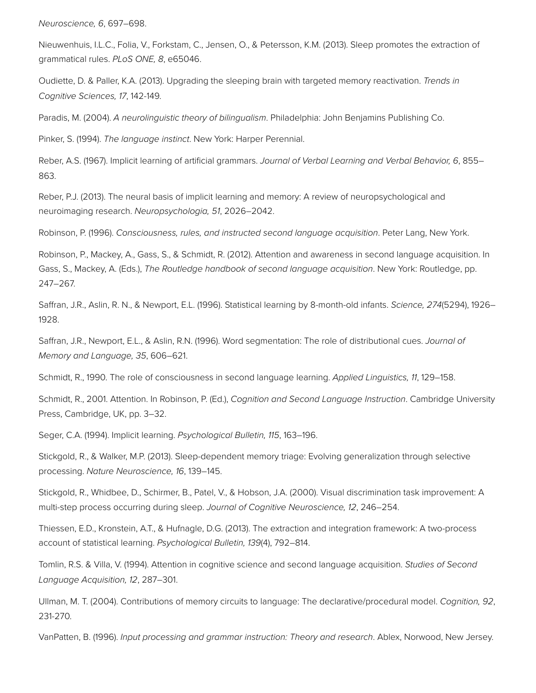*Neuroscience, 6*, 697–698.

Nieuwenhuis, I.L.C., Folia, V., Forkstam, C., Jensen, O., & Petersson, K.M. (2013). Sleep promotes the extraction of grammatical rules. *PLoS ONE, 8*, e65046.

Oudiette, D. & Paller, K.A. (2013). Upgrading the sleeping brain with targeted memory reactivation. *Trends in Cognitive Sciences, 17*, 142-149.

Paradis, M. (2004). *A neurolinguistic theory of bilingualism*. Philadelphia: John Benjamins Publishing Co.

Pinker, S. (1994). *The language instinct*. New York: Harper Perennial.

Reber, A.S. (1967). Implicit learning of artificial grammars. *Journal of Verbal Learning and Verbal Behavior, 6*, 855– 863.

Reber, P.J. (2013). The neural basis of implicit learning and memory: A review of neuropsychological and neuroimaging research. *Neuropsychologia, 51*, 2026–2042.

Robinson, P. (1996). *Consciousness, rules, and instructed second language acquisition*. Peter Lang, New York.

Robinson, P., Mackey, A., Gass, S., & Schmidt, R. (2012). Attention and awareness in second language acquisition. In Gass, S., Mackey, A. (Eds.), *The Routledge handbook of second language acquisition*. New York: Routledge, pp. 247–267.

Saffran, J.R., Aslin, R. N., & Newport, E.L. (1996). Statistical learning by 8-month-old infants. *Science, 274*(5294), 1926– 1928.

Saffran, J.R., Newport, E.L., & Aslin, R.N. (1996). Word segmentation: The role of distributional cues. *Journal of Memory and Language, 35*, 606–621.

Schmidt, R., 1990. The role of consciousness in second language learning. *Applied Linguistics, 11*, 129–158.

Schmidt, R., 2001. Attention. In Robinson, P. (Ed.), *Cognition and Second Language Instruction*. Cambridge University Press, Cambridge, UK, pp. 3–32.

Seger, C.A. (1994). Implicit learning. *Psychological Bulletin, 115*, 163–196.

Stickgold, R., & Walker, M.P. (2013). Sleep-dependent memory triage: Evolving generalization through selective processing. *Nature Neuroscience, 16*, 139–145.

Stickgold, R., Whidbee, D., Schirmer, B., Patel, V., & Hobson, J.A. (2000). Visual discrimination task improvement: A multi-step process occurring during sleep. *Journal of Cognitive Neuroscience, 12*, 246–254.

Thiessen, E.D., Kronstein, A.T., & Hufnagle, D.G. (2013). The extraction and integration framework: A two-process account of statistical learning. *Psychological Bulletin, 139*(4), 792–814.

Tomlin, R.S. & Villa, V. (1994). Attention in cognitive science and second language acquisition. *Studies of Second Language Acquisition, 12*, 287–301.

Ullman, M. T. (2004). Contributions of memory circuits to language: The declarative/procedural model. *Cognition, 92*, 231-270.

VanPatten, B. (1996). *Input processing and grammar instruction: Theory and research*. Ablex, Norwood, New Jersey.